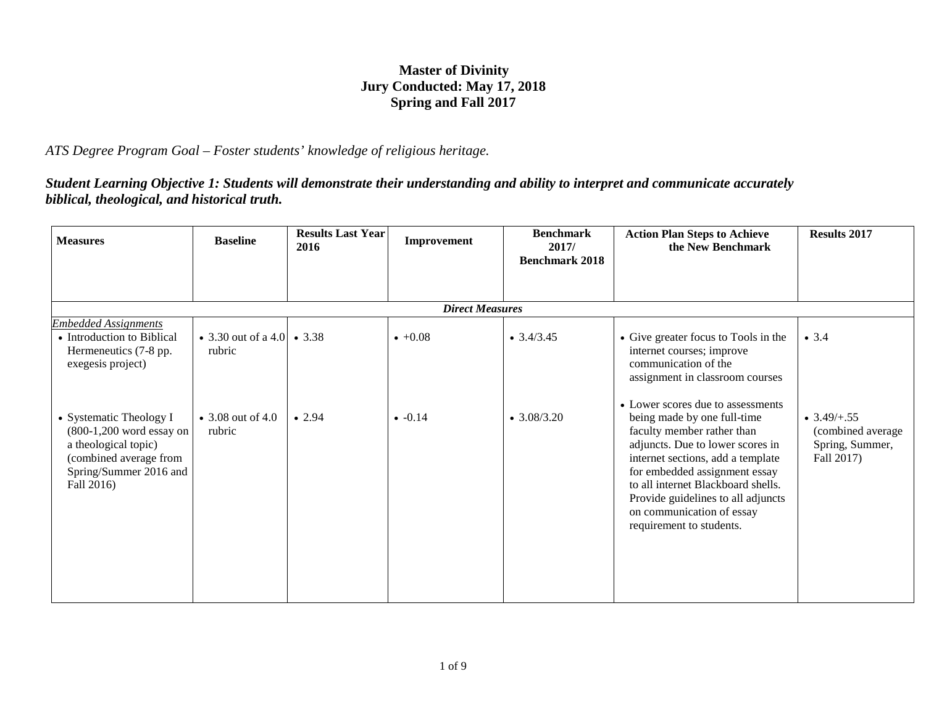## **Master of Divinity Jury Conducted: May 17, 2018 Spring and Fall 2017**

*ATS Degree Program Goal – Foster students' knowledge of religious heritage.*

*Student Learning Objective 1: Students will demonstrate their understanding and ability to interpret and communicate accurately biblical, theological, and historical truth.*

| <b>Measures</b>                                                                                                                                 | <b>Baseline</b>                        | <b>Results Last Year</b><br>2016 | Improvement            | <b>Benchmark</b><br>2017/<br><b>Benchmark 2018</b> | <b>Action Plan Steps to Achieve</b><br>the New Benchmark                                                                                                                                                                                                                                                                                      | <b>Results 2017</b>                                                        |
|-------------------------------------------------------------------------------------------------------------------------------------------------|----------------------------------------|----------------------------------|------------------------|----------------------------------------------------|-----------------------------------------------------------------------------------------------------------------------------------------------------------------------------------------------------------------------------------------------------------------------------------------------------------------------------------------------|----------------------------------------------------------------------------|
|                                                                                                                                                 |                                        |                                  |                        |                                                    |                                                                                                                                                                                                                                                                                                                                               |                                                                            |
|                                                                                                                                                 |                                        |                                  | <b>Direct Measures</b> |                                                    |                                                                                                                                                                                                                                                                                                                                               |                                                                            |
| <b>Embedded Assignments</b><br>• Introduction to Biblical<br>Hermeneutics (7-8 pp.<br>exegesis project)                                         | • 3.30 out of a 4.0   • 3.38<br>rubric |                                  | $+0.08$                | $\bullet$ 3.4/3.45                                 | • Give greater focus to Tools in the<br>internet courses; improve<br>communication of the<br>assignment in classroom courses                                                                                                                                                                                                                  | • 3.4                                                                      |
| • Systematic Theology I<br>$(800-1,200$ word essay on<br>a theological topic)<br>(combined average from<br>Spring/Summer 2016 and<br>Fall 2016) | • 3.08 out of 4.0<br>rubric            | • 2.94                           | $\bullet$ -0.14        | $\bullet$ 3.08/3.20                                | • Lower scores due to assessments<br>being made by one full-time<br>faculty member rather than<br>adjuncts. Due to lower scores in<br>internet sections, add a template<br>for embedded assignment essay<br>to all internet Blackboard shells.<br>Provide guidelines to all adjuncts<br>on communication of essay<br>requirement to students. | $\bullet$ 3.49/+.55<br>(combined average)<br>Spring, Summer,<br>Fall 2017) |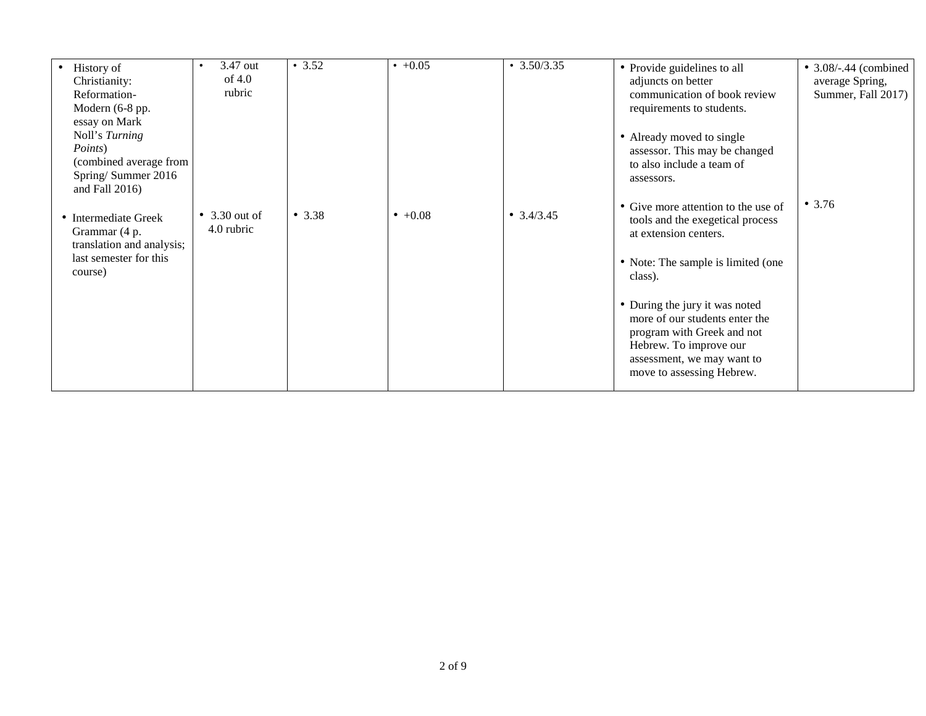| 3.47 out<br>of $4.0$<br>rubric      | • 3.52   | $\cdot$ +0.05 | $\cdot$ 3.50/3.35  | • Provide guidelines to all<br>adjuncts on better<br>communication of book review<br>requirements to students.                                                                      | • $3.08/-0.44$ (combined<br>average Spring,<br>Summer, Fall 2017) |
|-------------------------------------|----------|---------------|--------------------|-------------------------------------------------------------------------------------------------------------------------------------------------------------------------------------|-------------------------------------------------------------------|
|                                     |          |               |                    | • Already moved to single<br>assessor. This may be changed<br>to also include a team of<br>assessors.                                                                               |                                                                   |
| $\bullet$ 3.30 out of<br>4.0 rubric | • $3.38$ | $+0.08$       | $\bullet$ 3.4/3.45 | • Give more attention to the use of<br>tools and the exegetical process<br>at extension centers.                                                                                    | • 3.76                                                            |
|                                     |          |               |                    | • Note: The sample is limited (one<br>class).                                                                                                                                       |                                                                   |
|                                     |          |               |                    | • During the jury it was noted<br>more of our students enter the<br>program with Greek and not<br>Hebrew. To improve our<br>assessment, we may want to<br>move to assessing Hebrew. |                                                                   |
|                                     |          |               |                    |                                                                                                                                                                                     |                                                                   |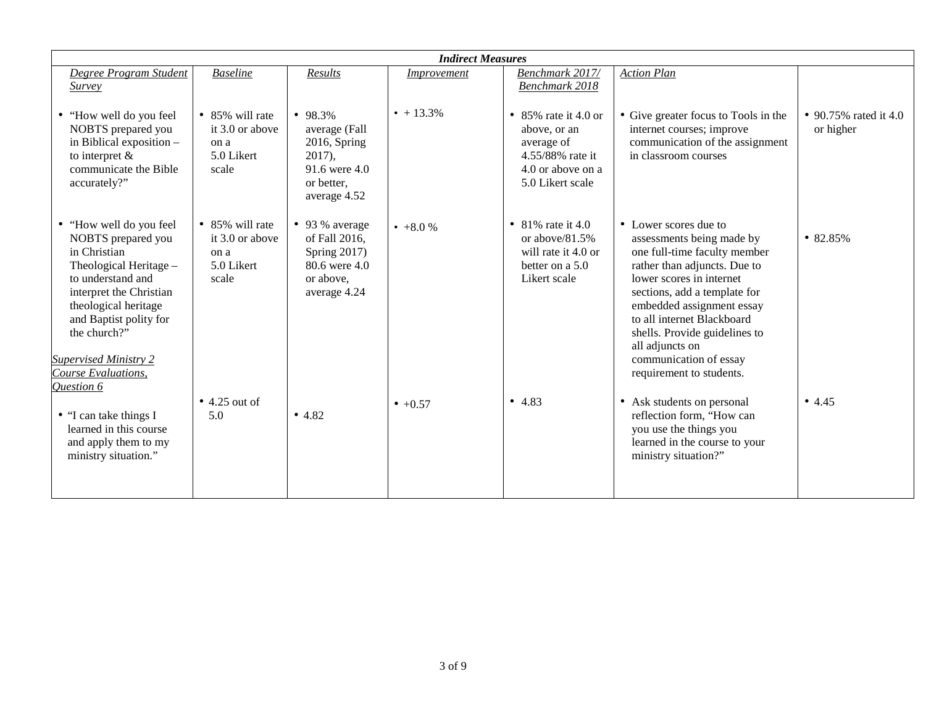| <b>Indirect Measures</b>                                                                                                                                                                                                                |                                                                           |                                                                                                        |                                  |                                                                                                                   |                                                                                                                                                                                                                                                                                                                         |                                    |
|-----------------------------------------------------------------------------------------------------------------------------------------------------------------------------------------------------------------------------------------|---------------------------------------------------------------------------|--------------------------------------------------------------------------------------------------------|----------------------------------|-------------------------------------------------------------------------------------------------------------------|-------------------------------------------------------------------------------------------------------------------------------------------------------------------------------------------------------------------------------------------------------------------------------------------------------------------------|------------------------------------|
| Degree Program Student<br><b>Survey</b>                                                                                                                                                                                                 | <b>Baseline</b>                                                           | Results                                                                                                | <i><u><b>Improvement</b></u></i> | Benchmark 2017/<br>Benchmark 2018                                                                                 | <b>Action Plan</b>                                                                                                                                                                                                                                                                                                      |                                    |
| "How well do you feel<br>NOBTS prepared you<br>in Biblical exposition -<br>to interpret $\&$<br>communicate the Bible<br>accurately?"                                                                                                   | • 85% will rate<br>it 3.0 or above<br>on a<br>5.0 Likert<br>scale         | • $98.3\%$<br>average (Fall<br>2016, Spring<br>$2017$ ,<br>91.6 were 4.0<br>or better,<br>average 4.52 | $\bullet$ + 13.3%                | • 85% rate it 4.0 or<br>above, or an<br>average of<br>4.55/88% rate it<br>$4.0$ or above on a<br>5.0 Likert scale | • Give greater focus to Tools in the<br>internet courses; improve<br>communication of the assignment<br>in classroom courses                                                                                                                                                                                            | • 90.75% rated it 4.0<br>or higher |
| "How well do you feel<br>NOBTS prepared you<br>in Christian<br>Theological Heritage -<br>to understand and<br>interpret the Christian<br>theological heritage<br>and Baptist polity for<br>the church?"<br><b>Supervised Ministry 2</b> | $\bullet$ 85% will rate<br>it 3.0 or above<br>on a<br>5.0 Likert<br>scale | • 93 % average<br>of Fall 2016,<br>Spring $2017$ )<br>80.6 were 4.0<br>or above,<br>average 4.24       | $+8.0%$                          | • 81% rate it 4.0<br>or above/ $81.5\%$<br>will rate it 4.0 or<br>better on a 5.0<br>Likert scale                 | • Lower scores due to<br>assessments being made by<br>one full-time faculty member<br>rather than adjuncts. Due to<br>lower scores in internet<br>sections, add a template for<br>embedded assignment essay<br>to all internet Blackboard<br>shells. Provide guidelines to<br>all adjuncts on<br>communication of essay | •82.85%                            |
| Course Evaluations,<br>Question 6                                                                                                                                                                                                       | $\bullet$ 4.25 out of                                                     |                                                                                                        | $+0.57$                          | • $4.83$                                                                                                          | requirement to students.<br>• Ask students on personal                                                                                                                                                                                                                                                                  | • $4.45$                           |
| • "I can take things I<br>learned in this course<br>and apply them to my<br>ministry situation."                                                                                                                                        | 5.0                                                                       | • 4.82                                                                                                 |                                  |                                                                                                                   | reflection form, "How can<br>you use the things you<br>learned in the course to your<br>ministry situation?"                                                                                                                                                                                                            |                                    |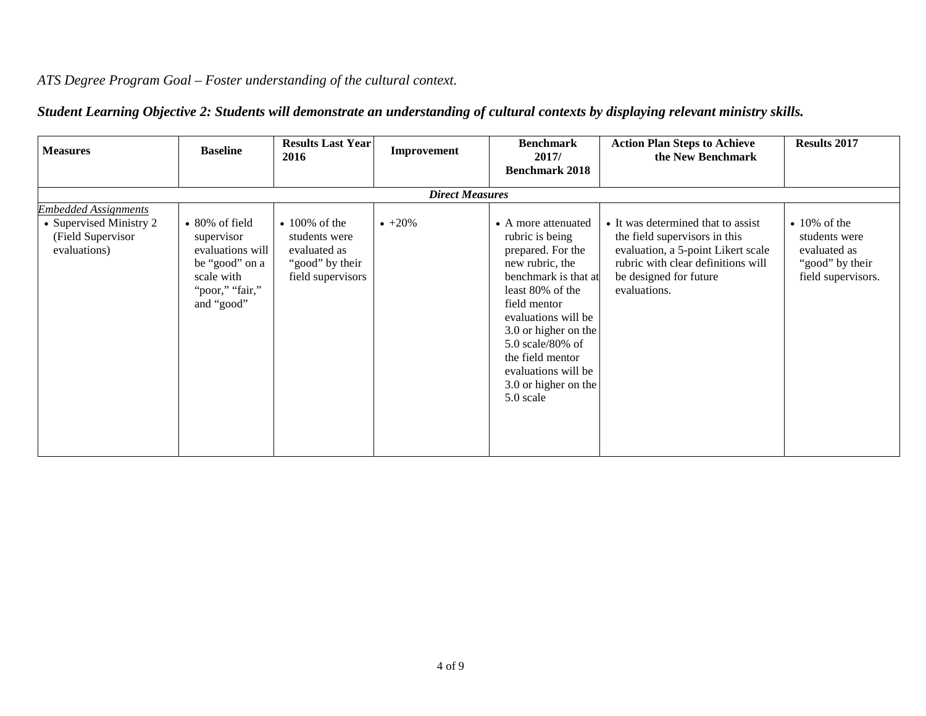## *ATS Degree Program Goal – Foster understanding of the cultural context.*

| <b>Measures</b>                                                                             | <b>Baseline</b>                                                                                                           | <b>Results Last Year</b><br>2016                                                             | Improvement | <b>Benchmark</b><br>2017/<br><b>Benchmark 2018</b>                                                                                                                                                                                                                                            | <b>Action Plan Steps to Achieve</b><br>the New Benchmark                                                                                                                                  | <b>Results 2017</b>                                                                          |  |  |  |  |
|---------------------------------------------------------------------------------------------|---------------------------------------------------------------------------------------------------------------------------|----------------------------------------------------------------------------------------------|-------------|-----------------------------------------------------------------------------------------------------------------------------------------------------------------------------------------------------------------------------------------------------------------------------------------------|-------------------------------------------------------------------------------------------------------------------------------------------------------------------------------------------|----------------------------------------------------------------------------------------------|--|--|--|--|
|                                                                                             | <b>Direct Measures</b>                                                                                                    |                                                                                              |             |                                                                                                                                                                                                                                                                                               |                                                                                                                                                                                           |                                                                                              |  |  |  |  |
| <b>Embedded Assignments</b><br>• Supervised Ministry 2<br>(Field Supervisor<br>evaluations) | $\bullet$ 80% of field<br>supervisor<br>evaluations will<br>be "good" on a<br>scale with<br>"poor," "fair,"<br>and "good" | $\cdot$ 100% of the<br>students were<br>evaluated as<br>"good" by their<br>field supervisors | $+20\%$     | • A more attenuated<br>rubric is being<br>prepared. For the<br>new rubric, the<br>benchmark is that at<br>least 80% of the<br>field mentor<br>evaluations will be<br>3.0 or higher on the<br>5.0 scale/80% of<br>the field mentor<br>evaluations will be<br>3.0 or higher on the<br>5.0 scale | • It was determined that to assist<br>the field supervisors in this<br>evaluation, a 5-point Likert scale<br>rubric with clear definitions will<br>be designed for future<br>evaluations. | $\cdot$ 10% of the<br>students were<br>evaluated as<br>"good" by their<br>field supervisors. |  |  |  |  |

## *Student Learning Objective 2: Students will demonstrate an understanding of cultural contexts by displaying relevant ministry skills.*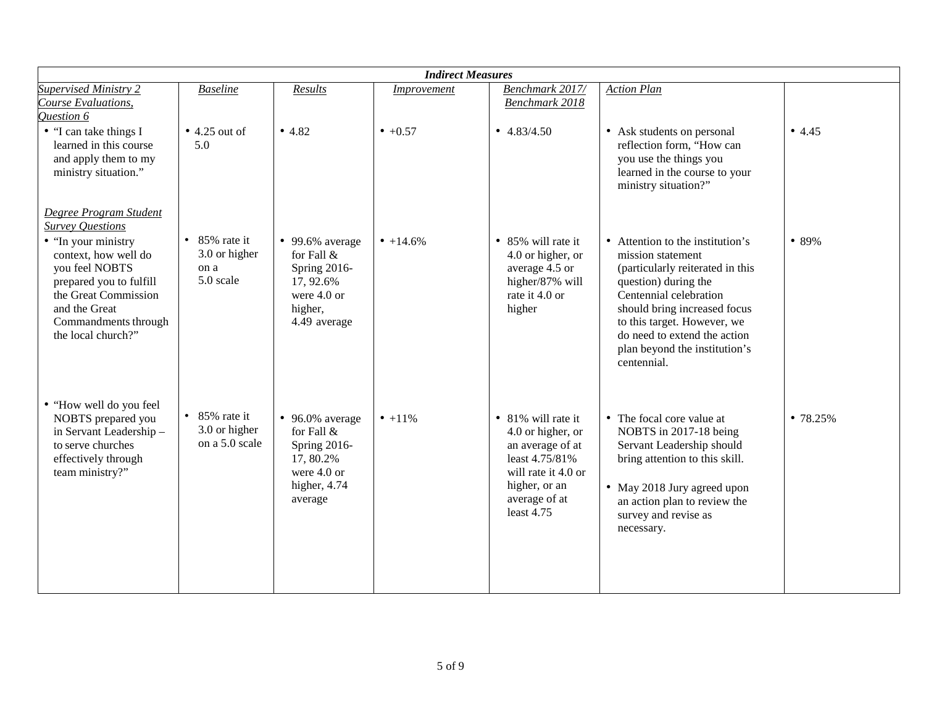| <b>Indirect Measures</b>                                                                                                                                                        |                                                             |                                                                                                              |             |                                                                                                                                                      |                                                                                                                                                                                                                                                                                            |         |
|---------------------------------------------------------------------------------------------------------------------------------------------------------------------------------|-------------------------------------------------------------|--------------------------------------------------------------------------------------------------------------|-------------|------------------------------------------------------------------------------------------------------------------------------------------------------|--------------------------------------------------------------------------------------------------------------------------------------------------------------------------------------------------------------------------------------------------------------------------------------------|---------|
| <b>Supervised Ministry 2</b>                                                                                                                                                    | <b>Baseline</b>                                             | Results                                                                                                      | Improvement | Benchmark 2017/                                                                                                                                      | <b>Action Plan</b>                                                                                                                                                                                                                                                                         |         |
| Course Evaluations,<br>Question 6                                                                                                                                               |                                                             |                                                                                                              |             | <b>Benchmark 2018</b>                                                                                                                                |                                                                                                                                                                                                                                                                                            |         |
| • "I can take things I<br>learned in this course<br>and apply them to my<br>ministry situation."                                                                                | $\bullet$ 4.25 out of<br>5.0                                | • 4.82                                                                                                       | $• +0.57$   | $\bullet$ 4.83/4.50                                                                                                                                  | • Ask students on personal<br>reflection form, "How can<br>you use the things you<br>learned in the course to your<br>ministry situation?"                                                                                                                                                 | • 4.45  |
| Degree Program Student<br><b>Survey Questions</b>                                                                                                                               |                                                             |                                                                                                              |             |                                                                                                                                                      |                                                                                                                                                                                                                                                                                            |         |
| • "In your ministry<br>context, how well do<br>you feel NOBTS<br>prepared you to fulfill<br>the Great Commission<br>and the Great<br>Commandments through<br>the local church?" | $\bullet$ 85% rate it<br>3.0 or higher<br>on a<br>5.0 scale | $\bullet$ 99.6% average<br>for Fall &<br>Spring 2016-<br>17, 92.6%<br>were 4.0 or<br>higher,<br>4.49 average | $• +14.6\%$ | • 85% will rate it<br>4.0 or higher, or<br>average 4.5 or<br>higher/87% will<br>rate it 4.0 or<br>higher                                             | • Attention to the institution's<br>mission statement<br>(particularly reiterated in this<br>question) during the<br>Centennial celebration<br>should bring increased focus<br>to this target. However, we<br>do need to extend the action<br>plan beyond the institution's<br>centennial. | • 89%   |
| • "How well do you feel<br>NOBTS prepared you<br>in Servant Leadership-<br>to serve churches<br>effectively through<br>team ministry?"                                          | $\bullet$ 85% rate it<br>3.0 or higher<br>on a 5.0 scale    | $\bullet$ 96.0% average<br>for Fall &<br>Spring 2016-<br>17, 80.2%<br>were 4.0 or<br>higher, 4.74<br>average | $• +11\%$   | • 81% will rate it<br>4.0 or higher, or<br>an average of at<br>least 4.75/81%<br>will rate it 4.0 or<br>higher, or an<br>average of at<br>least 4.75 | • The focal core value at<br>NOBTS in 2017-18 being<br>Servant Leadership should<br>bring attention to this skill.<br>• May 2018 Jury agreed upon<br>an action plan to review the<br>survey and revise as<br>necessary.                                                                    | •78.25% |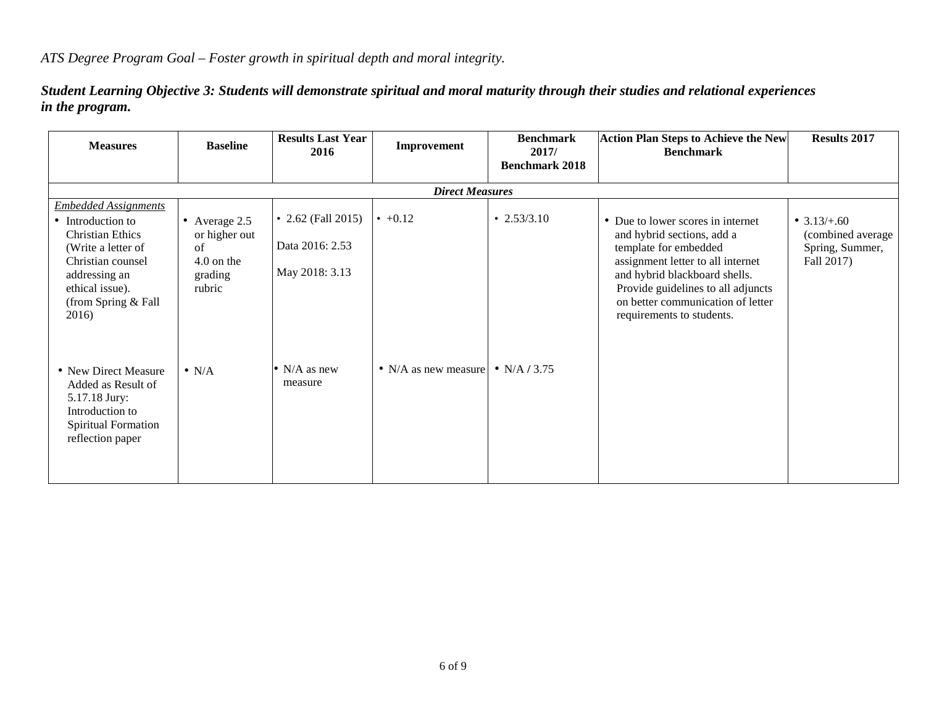*Student Learning Objective 3: Students will demonstrate spiritual and moral maturity through their studies and relational experiences in the program.*

| <b>Measures</b>                                                                                                                                                                            | <b>Baseline</b>                                                           | <b>Results Last Year</b><br>2016                        | Improvement                             | <b>Benchmark</b><br>2017/<br><b>Benchmark 2018</b> | <b>Action Plan Steps to Achieve the New</b><br><b>Benchmark</b>                                                                                                                                                                                                        | <b>Results 2017</b>                                                 |  |  |  |
|--------------------------------------------------------------------------------------------------------------------------------------------------------------------------------------------|---------------------------------------------------------------------------|---------------------------------------------------------|-----------------------------------------|----------------------------------------------------|------------------------------------------------------------------------------------------------------------------------------------------------------------------------------------------------------------------------------------------------------------------------|---------------------------------------------------------------------|--|--|--|
|                                                                                                                                                                                            | <b>Direct Measures</b>                                                    |                                                         |                                         |                                                    |                                                                                                                                                                                                                                                                        |                                                                     |  |  |  |
| <b>Embedded Assignments</b><br>• Introduction to<br><b>Christian Ethics</b><br>(Write a letter of<br>Christian counsel<br>addressing an<br>ethical issue).<br>(from Spring & Fall<br>2016) | • Average 2.5<br>or higher out<br>of<br>$4.0$ on the<br>grading<br>rubric | • 2.62 (Fall 2015)<br>Data 2016: 2.53<br>May 2018: 3.13 | $\cdot$ +0.12                           | $\cdot$ 2.53/3.10                                  | • Due to lower scores in internet<br>and hybrid sections, add a<br>template for embedded<br>assignment letter to all internet<br>and hybrid blackboard shells.<br>Provide guidelines to all adjuncts<br>on better communication of letter<br>requirements to students. | • $3.13/+.60$<br>(combined average<br>Spring, Summer,<br>Fall 2017) |  |  |  |
| • New Direct Measure<br>Added as Result of<br>5.17.18 Jury:<br>Introduction to<br>Spiritual Formation<br>reflection paper                                                                  | $\bullet$ N/A                                                             | • N/A as new<br>measure                                 | • N/A as new measure $\cdot$ N/A / 3.75 |                                                    |                                                                                                                                                                                                                                                                        |                                                                     |  |  |  |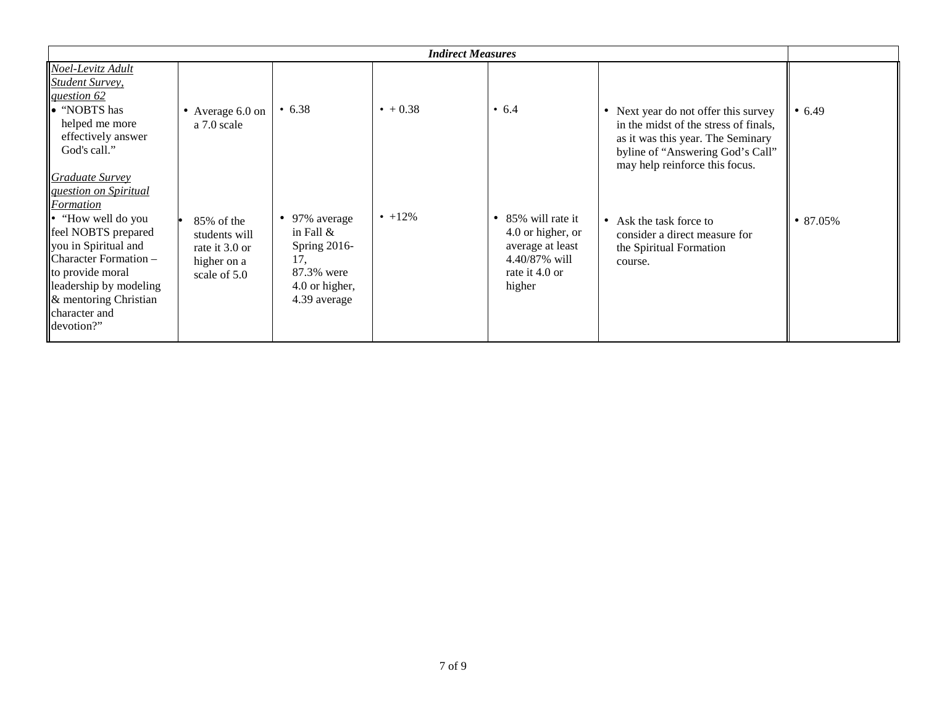|                                                                                                                                                                                                                  |                                                                                 |                                                                                                         | <b>Indirect Measures</b> |                                                                                                                     |                                                                                                                                                                                          |                |
|------------------------------------------------------------------------------------------------------------------------------------------------------------------------------------------------------------------|---------------------------------------------------------------------------------|---------------------------------------------------------------------------------------------------------|--------------------------|---------------------------------------------------------------------------------------------------------------------|------------------------------------------------------------------------------------------------------------------------------------------------------------------------------------------|----------------|
| Noel-Levitz Adult<br><b>Student Survey,</b><br>question 62                                                                                                                                                       |                                                                                 |                                                                                                         |                          |                                                                                                                     |                                                                                                                                                                                          |                |
| lo "NOBTS has<br>helped me more<br>effectively answer<br>God's call."<br><b>Graduate Survey</b><br><i><u><b>guestion on Spiritual</b></u></i><br><b>Formation</b>                                                | • Average $6.0$ on<br>a 7.0 scale                                               | • 6.38                                                                                                  | $• + 0.38$               | $\cdot$ 6.4                                                                                                         | • Next year do not offer this survey<br>in the midst of the stress of finals,<br>as it was this year. The Seminary<br>byline of "Answering God's Call"<br>may help reinforce this focus. | • $6.49$       |
| $\  \cdot \ $ "How well do you"<br>feel NOBTS prepared<br>you in Spiritual and<br>Character Formation -<br>to provide moral<br>leadership by modeling<br>$\&$ mentoring Christian<br>character and<br>devotion?" | $85\%$ of the<br>students will<br>rate it 3.0 or<br>higher on a<br>scale of 5.0 | • 97% average<br>in Fall $\&$<br>Spring $2016$ -<br>17.<br>87.3% were<br>4.0 or higher,<br>4.39 average | $\cdot$ +12%             | 85% will rate it<br>$\bullet$<br>4.0 or higher, or<br>average at least<br>4.40/87% will<br>rate it 4.0 or<br>higher | • Ask the task force to<br>consider a direct measure for<br>the Spiritual Formation<br>course.                                                                                           | $\cdot$ 87.05% |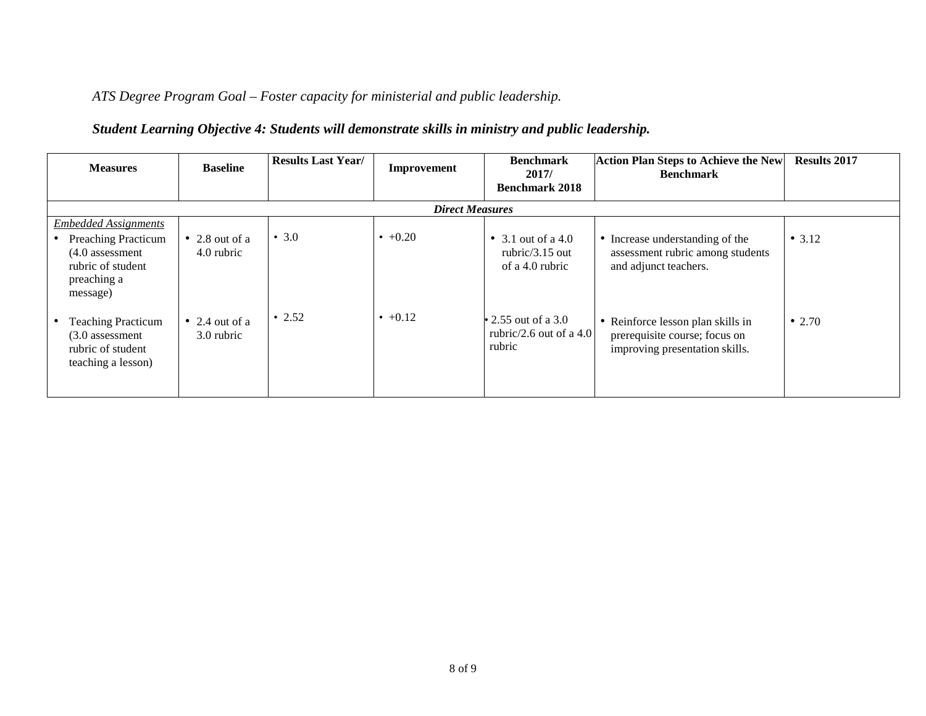*ATS Degree Program Goal – Foster capacity for ministerial and public leadership.*

## *Student Learning Objective 4: Students will demonstrate skills in ministry and public leadership.*

| <b>Measures</b>                                                                                                                | <b>Baseline</b>              | <b>Results Last Year/</b> | Improvement            | <b>Benchmark</b><br>2017/                                   | <b>Action Plan Steps to Achieve the New</b><br><b>Benchmark</b>                                      | <b>Results 2017</b> |
|--------------------------------------------------------------------------------------------------------------------------------|------------------------------|---------------------------|------------------------|-------------------------------------------------------------|------------------------------------------------------------------------------------------------------|---------------------|
|                                                                                                                                |                              |                           |                        | <b>Benchmark 2018</b>                                       |                                                                                                      |                     |
|                                                                                                                                |                              |                           | <b>Direct Measures</b> |                                                             |                                                                                                      |                     |
| <b>Embedded Assignments</b><br><b>Preaching Practicum</b><br>$(4.0$ assessment<br>rubric of student<br>preaching a<br>message) | • 2.8 out of a<br>4.0 rubric | • 3.0                     | $+0.20$                | • 3.1 out of a 4.0<br>rubric/ $3.15$ out<br>of a 4.0 rubric | • Increase understanding of the<br>assessment rubric among students<br>and adjunct teachers.         | • $3.12$            |
| <b>Teaching Practicum</b><br>$(3.0$ assessment<br>rubric of student<br>teaching a lesson)                                      | • 2.4 out of a<br>3.0 rubric | $\cdot$ 2.52              | $\cdot$ +0.12          | • 2.55 out of a 3.0<br>rubric/2.6 out of a 4.0<br>rubric    | • Reinforce lesson plan skills in<br>prerequisite course; focus on<br>improving presentation skills. | • 2.70              |